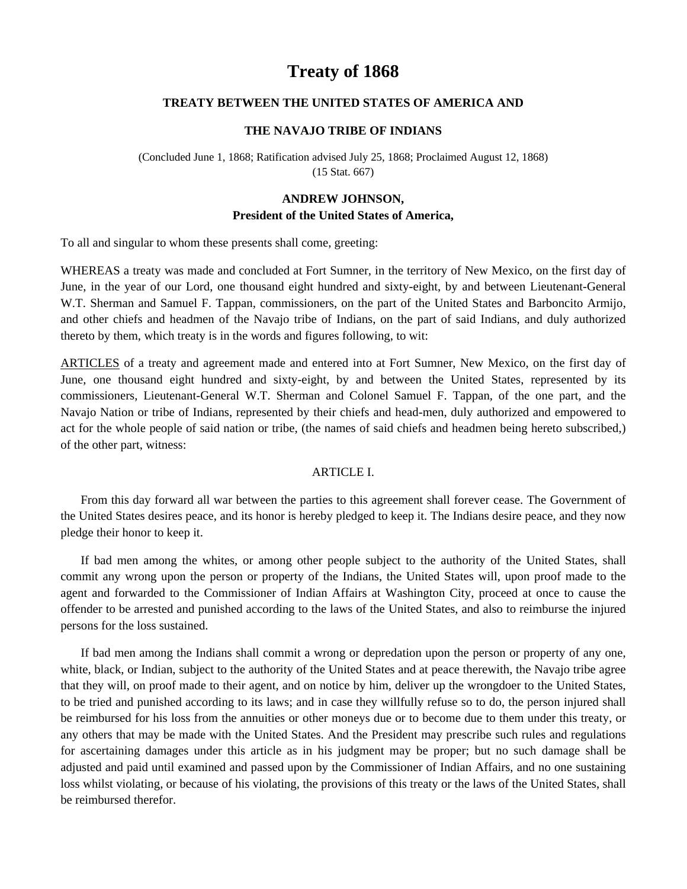# **Treaty of 1868**

# **TREATY BETWEEN THE UNITED STATES OF AMERICA AND**

## **THE NAVAJO TRIBE OF INDIANS**

(Concluded June 1, 1868; Ratification advised July 25, 1868; Proclaimed August 12, 1868) (15 Stat. 667)

#### **ANDREW JOHNSON,**

## **President of the United States of America,**

To all and singular to whom these presents shall come, greeting:

WHEREAS a treaty was made and concluded at Fort Sumner, in the territory of New Mexico, on the first day of June, in the year of our Lord, one thousand eight hundred and sixty-eight, by and between Lieutenant-General W.T. Sherman and Samuel F. Tappan, commissioners, on the part of the United States and Barboncito Armijo, and other chiefs and headmen of the Navajo tribe of Indians, on the part of said Indians, and duly authorized thereto by them, which treaty is in the words and figures following, to wit:

ARTICLES of a treaty and agreement made and entered into at Fort Sumner, New Mexico, on the first day of June, one thousand eight hundred and sixty-eight, by and between the United States, represented by its commissioners, Lieutenant-General W.T. Sherman and Colonel Samuel F. Tappan, of the one part, and the Navajo Nation or tribe of Indians, represented by their chiefs and head-men, duly authorized and empowered to act for the whole people of said nation or tribe, (the names of said chiefs and headmen being hereto subscribed,) of the other part, witness:

#### ARTICLE I.

 From this day forward all war between the parties to this agreement shall forever cease. The Government of the United States desires peace, and its honor is hereby pledged to keep it. The Indians desire peace, and they now pledge their honor to keep it.

 If bad men among the whites, or among other people subject to the authority of the United States, shall commit any wrong upon the person or property of the Indians, the United States will, upon proof made to the agent and forwarded to the Commissioner of Indian Affairs at Washington City, proceed at once to cause the offender to be arrested and punished according to the laws of the United States, and also to reimburse the injured persons for the loss sustained.

 If bad men among the Indians shall commit a wrong or depredation upon the person or property of any one, white, black, or Indian, subject to the authority of the United States and at peace therewith, the Navajo tribe agree that they will, on proof made to their agent, and on notice by him, deliver up the wrongdoer to the United States, to be tried and punished according to its laws; and in case they willfully refuse so to do, the person injured shall be reimbursed for his loss from the annuities or other moneys due or to become due to them under this treaty, or any others that may be made with the United States. And the President may prescribe such rules and regulations for ascertaining damages under this article as in his judgment may be proper; but no such damage shall be adjusted and paid until examined and passed upon by the Commissioner of Indian Affairs, and no one sustaining loss whilst violating, or because of his violating, the provisions of this treaty or the laws of the United States, shall be reimbursed therefor.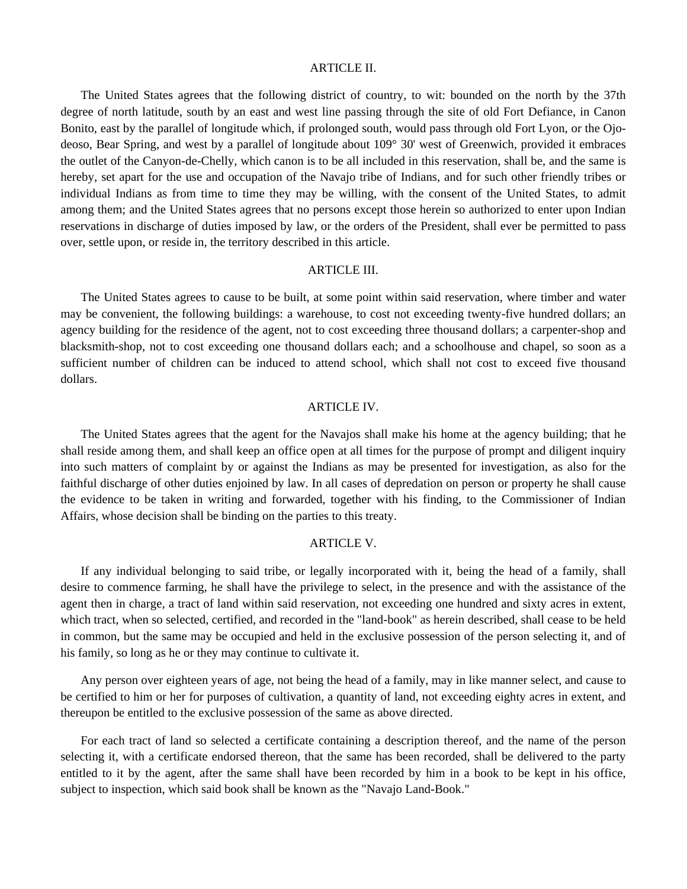#### ARTICLE II.

 The United States agrees that the following district of country, to wit: bounded on the north by the 37th degree of north latitude, south by an east and west line passing through the site of old Fort Defiance, in Canon Bonito, east by the parallel of longitude which, if prolonged south, would pass through old Fort Lyon, or the Ojodeoso, Bear Spring, and west by a parallel of longitude about 109° 30' west of Greenwich, provided it embraces the outlet of the Canyon-de-Chelly, which canon is to be all included in this reservation, shall be, and the same is hereby, set apart for the use and occupation of the Navajo tribe of Indians, and for such other friendly tribes or individual Indians as from time to time they may be willing, with the consent of the United States, to admit among them; and the United States agrees that no persons except those herein so authorized to enter upon Indian reservations in discharge of duties imposed by law, or the orders of the President, shall ever be permitted to pass over, settle upon, or reside in, the territory described in this article.

#### ARTICLE III.

 The United States agrees to cause to be built, at some point within said reservation, where timber and water may be convenient, the following buildings: a warehouse, to cost not exceeding twenty-five hundred dollars; an agency building for the residence of the agent, not to cost exceeding three thousand dollars; a carpenter-shop and blacksmith-shop, not to cost exceeding one thousand dollars each; and a schoolhouse and chapel, so soon as a sufficient number of children can be induced to attend school, which shall not cost to exceed five thousand dollars.

## ARTICLE IV.

 The United States agrees that the agent for the Navajos shall make his home at the agency building; that he shall reside among them, and shall keep an office open at all times for the purpose of prompt and diligent inquiry into such matters of complaint by or against the Indians as may be presented for investigation, as also for the faithful discharge of other duties enjoined by law. In all cases of depredation on person or property he shall cause the evidence to be taken in writing and forwarded, together with his finding, to the Commissioner of Indian Affairs, whose decision shall be binding on the parties to this treaty.

## ARTICLE V.

 If any individual belonging to said tribe, or legally incorporated with it, being the head of a family, shall desire to commence farming, he shall have the privilege to select, in the presence and with the assistance of the agent then in charge, a tract of land within said reservation, not exceeding one hundred and sixty acres in extent, which tract, when so selected, certified, and recorded in the "land-book" as herein described, shall cease to be held in common, but the same may be occupied and held in the exclusive possession of the person selecting it, and of his family, so long as he or they may continue to cultivate it.

 Any person over eighteen years of age, not being the head of a family, may in like manner select, and cause to be certified to him or her for purposes of cultivation, a quantity of land, not exceeding eighty acres in extent, and thereupon be entitled to the exclusive possession of the same as above directed.

 For each tract of land so selected a certificate containing a description thereof, and the name of the person selecting it, with a certificate endorsed thereon, that the same has been recorded, shall be delivered to the party entitled to it by the agent, after the same shall have been recorded by him in a book to be kept in his office, subject to inspection, which said book shall be known as the "Navajo Land-Book."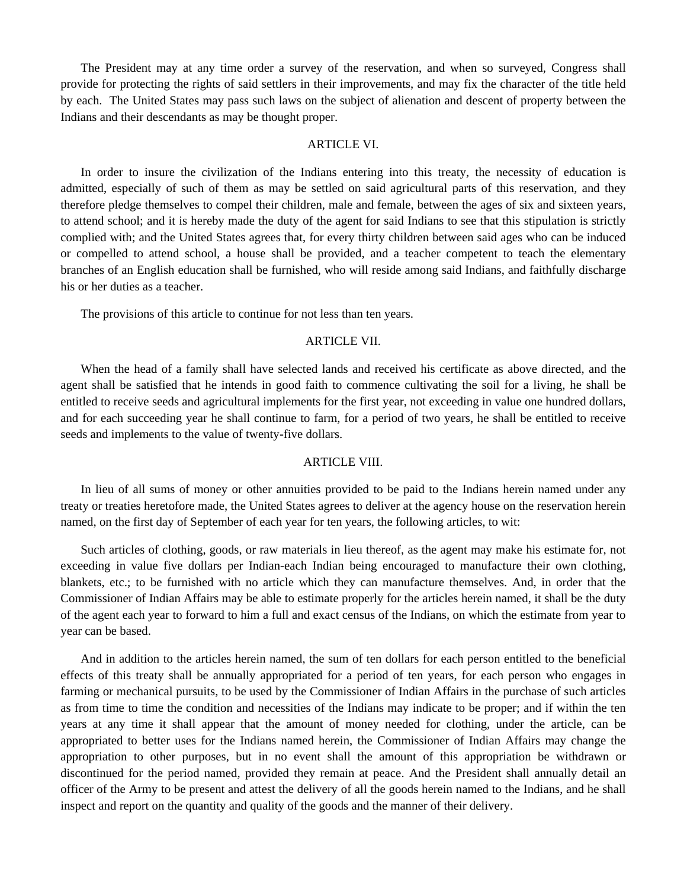The President may at any time order a survey of the reservation, and when so surveyed, Congress shall provide for protecting the rights of said settlers in their improvements, and may fix the character of the title held by each. The United States may pass such laws on the subject of alienation and descent of property between the Indians and their descendants as may be thought proper.

#### ARTICLE VI.

 In order to insure the civilization of the Indians entering into this treaty, the necessity of education is admitted, especially of such of them as may be settled on said agricultural parts of this reservation, and they therefore pledge themselves to compel their children, male and female, between the ages of six and sixteen years, to attend school; and it is hereby made the duty of the agent for said Indians to see that this stipulation is strictly complied with; and the United States agrees that, for every thirty children between said ages who can be induced or compelled to attend school, a house shall be provided, and a teacher competent to teach the elementary branches of an English education shall be furnished, who will reside among said Indians, and faithfully discharge his or her duties as a teacher.

The provisions of this article to continue for not less than ten years.

#### ARTICLE VII.

 When the head of a family shall have selected lands and received his certificate as above directed, and the agent shall be satisfied that he intends in good faith to commence cultivating the soil for a living, he shall be entitled to receive seeds and agricultural implements for the first year, not exceeding in value one hundred dollars, and for each succeeding year he shall continue to farm, for a period of two years, he shall be entitled to receive seeds and implements to the value of twenty-five dollars.

#### ARTICLE VIII.

 In lieu of all sums of money or other annuities provided to be paid to the Indians herein named under any treaty or treaties heretofore made, the United States agrees to deliver at the agency house on the reservation herein named, on the first day of September of each year for ten years, the following articles, to wit:

 Such articles of clothing, goods, or raw materials in lieu thereof, as the agent may make his estimate for, not exceeding in value five dollars per Indian-each Indian being encouraged to manufacture their own clothing, blankets, etc.; to be furnished with no article which they can manufacture themselves. And, in order that the Commissioner of Indian Affairs may be able to estimate properly for the articles herein named, it shall be the duty of the agent each year to forward to him a full and exact census of the Indians, on which the estimate from year to year can be based.

 And in addition to the articles herein named, the sum of ten dollars for each person entitled to the beneficial effects of this treaty shall be annually appropriated for a period of ten years, for each person who engages in farming or mechanical pursuits, to be used by the Commissioner of Indian Affairs in the purchase of such articles as from time to time the condition and necessities of the Indians may indicate to be proper; and if within the ten years at any time it shall appear that the amount of money needed for clothing, under the article, can be appropriated to better uses for the Indians named herein, the Commissioner of Indian Affairs may change the appropriation to other purposes, but in no event shall the amount of this appropriation be withdrawn or discontinued for the period named, provided they remain at peace. And the President shall annually detail an officer of the Army to be present and attest the delivery of all the goods herein named to the Indians, and he shall inspect and report on the quantity and quality of the goods and the manner of their delivery.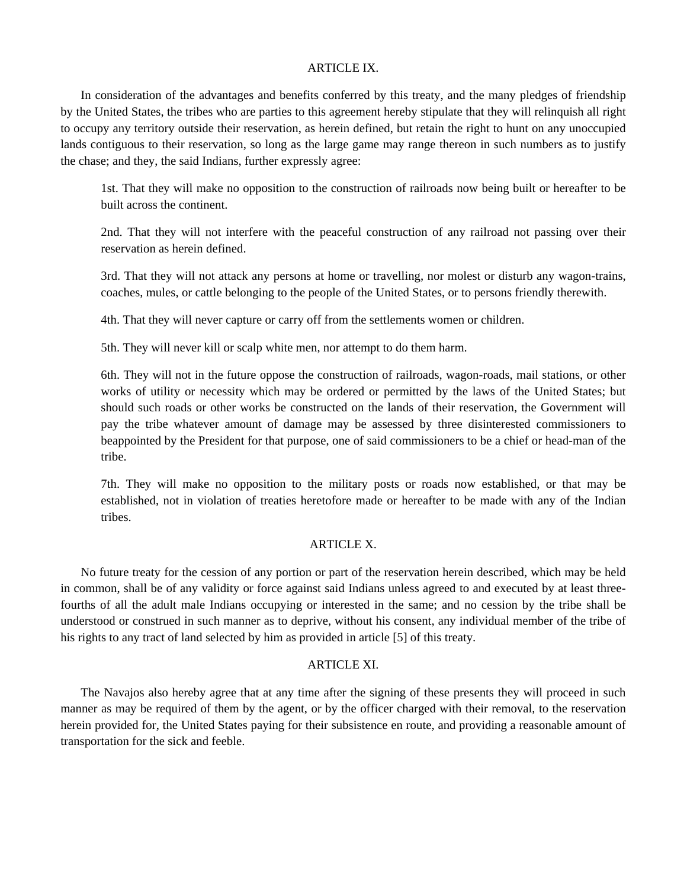#### ARTICLE IX.

 In consideration of the advantages and benefits conferred by this treaty, and the many pledges of friendship by the United States, the tribes who are parties to this agreement hereby stipulate that they will relinquish all right to occupy any territory outside their reservation, as herein defined, but retain the right to hunt on any unoccupied lands contiguous to their reservation, so long as the large game may range thereon in such numbers as to justify the chase; and they, the said Indians, further expressly agree:

1st. That they will make no opposition to the construction of railroads now being built or hereafter to be built across the continent.

2nd. That they will not interfere with the peaceful construction of any railroad not passing over their reservation as herein defined.

3rd. That they will not attack any persons at home or travelling, nor molest or disturb any wagon-trains, coaches, mules, or cattle belonging to the people of the United States, or to persons friendly therewith.

4th. That they will never capture or carry off from the settlements women or children.

5th. They will never kill or scalp white men, nor attempt to do them harm.

6th. They will not in the future oppose the construction of railroads, wagon-roads, mail stations, or other works of utility or necessity which may be ordered or permitted by the laws of the United States; but should such roads or other works be constructed on the lands of their reservation, the Government will pay the tribe whatever amount of damage may be assessed by three disinterested commissioners to beappointed by the President for that purpose, one of said commissioners to be a chief or head-man of the tribe.

7th. They will make no opposition to the military posts or roads now established, or that may be established, not in violation of treaties heretofore made or hereafter to be made with any of the Indian tribes.

## ARTICLE X.

 No future treaty for the cession of any portion or part of the reservation herein described, which may be held in common, shall be of any validity or force against said Indians unless agreed to and executed by at least threefourths of all the adult male Indians occupying or interested in the same; and no cession by the tribe shall be understood or construed in such manner as to deprive, without his consent, any individual member of the tribe of his rights to any tract of land selected by him as provided in article [5] of this treaty.

#### ARTICLE XI.

 The Navajos also hereby agree that at any time after the signing of these presents they will proceed in such manner as may be required of them by the agent, or by the officer charged with their removal, to the reservation herein provided for, the United States paying for their subsistence en route, and providing a reasonable amount of transportation for the sick and feeble.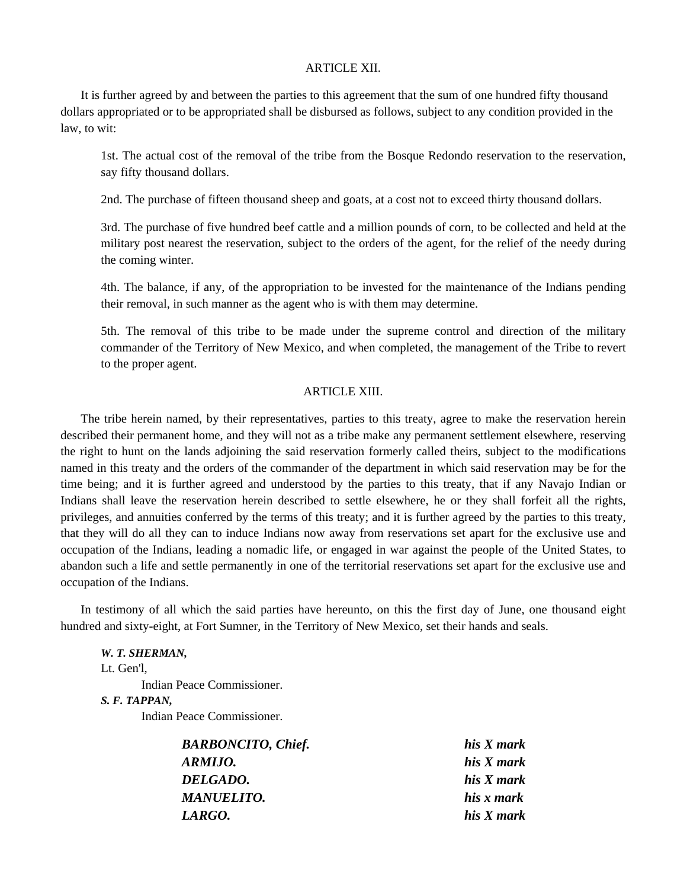#### ARTICLE XII.

 It is further agreed by and between the parties to this agreement that the sum of one hundred fifty thousand dollars appropriated or to be appropriated shall be disbursed as follows, subject to any condition provided in the law, to wit:

1st. The actual cost of the removal of the tribe from the Bosque Redondo reservation to the reservation, say fifty thousand dollars.

2nd. The purchase of fifteen thousand sheep and goats, at a cost not to exceed thirty thousand dollars.

3rd. The purchase of five hundred beef cattle and a million pounds of corn, to be collected and held at the military post nearest the reservation, subject to the orders of the agent, for the relief of the needy during the coming winter.

4th. The balance, if any, of the appropriation to be invested for the maintenance of the Indians pending their removal, in such manner as the agent who is with them may determine.

5th. The removal of this tribe to be made under the supreme control and direction of the military commander of the Territory of New Mexico, and when completed, the management of the Tribe to revert to the proper agent.

#### ARTICLE XIII.

 The tribe herein named, by their representatives, parties to this treaty, agree to make the reservation herein described their permanent home, and they will not as a tribe make any permanent settlement elsewhere, reserving the right to hunt on the lands adjoining the said reservation formerly called theirs, subject to the modifications named in this treaty and the orders of the commander of the department in which said reservation may be for the time being; and it is further agreed and understood by the parties to this treaty, that if any Navajo Indian or Indians shall leave the reservation herein described to settle elsewhere, he or they shall forfeit all the rights, privileges, and annuities conferred by the terms of this treaty; and it is further agreed by the parties to this treaty, that they will do all they can to induce Indians now away from reservations set apart for the exclusive use and occupation of the Indians, leading a nomadic life, or engaged in war against the people of the United States, to abandon such a life and settle permanently in one of the territorial reservations set apart for the exclusive use and occupation of the Indians.

 In testimony of all which the said parties have hereunto, on this the first day of June, one thousand eight hundred and sixty-eight, at Fort Sumner, in the Territory of New Mexico, set their hands and seals.

*W. T. SHERMAN,*  Lt. Gen'l,

Indian Peace Commissioner.

*S. F. TAPPAN,* 

Indian Peace Commissioner.

| his X mark |
|------------|
| his X mark |
| his X mark |
| his x mark |
| his X mark |
|            |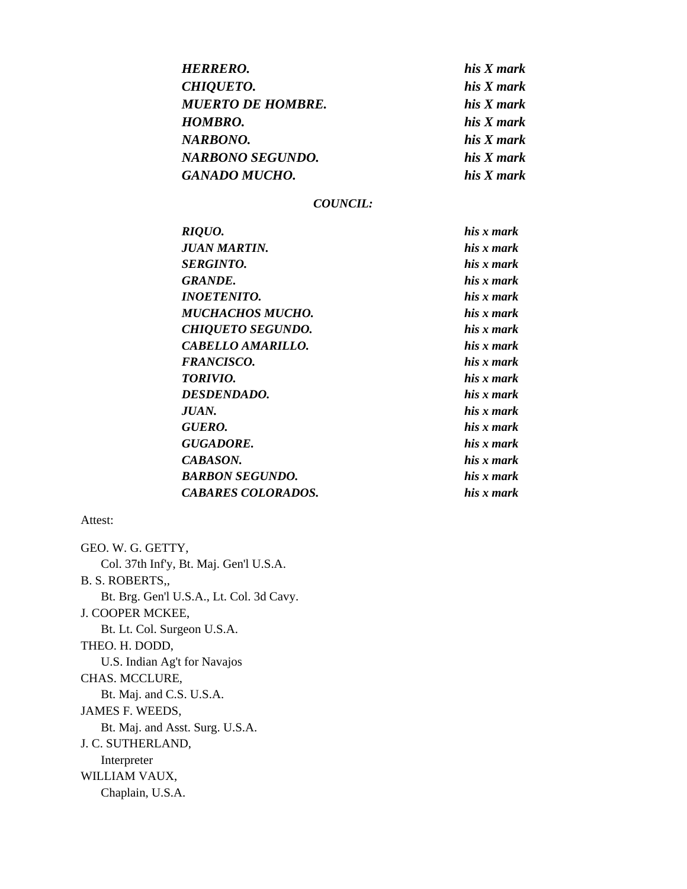| HERRERO.                 | his X mark |
|--------------------------|------------|
| <b>CHIQUETO.</b>         | his X mark |
| <b>MUERTO DE HOMBRE.</b> | his X mark |
| <b>HOMBRO.</b>           | his X mark |
| NARBONO.                 | his X mark |
| NARBONO SEGUNDO.         | his X mark |
| <b>GANADO MUCHO.</b>     | his X mark |

# *COUNCIL:*

| RIQUO.                    | his x mark |
|---------------------------|------------|
| JUAN MARTIN.              | his x mark |
| SERGINTO.                 | his x mark |
| <b>GRANDE.</b>            | his x mark |
| <i><b>INOETENITO.</b></i> | his x mark |
| MUCHACHOS MUCHO.          | his x mark |
| <b>CHIQUETO SEGUNDO.</b>  | his x mark |
| <b>CABELLO AMARILLO.</b>  | his x mark |
| <i>FRANCISCO.</i>         | his x mark |
| TORIVIO.                  | his x mark |
| <i>DESDENDADO.</i>        | his x mark |
| JUAN.                     | his x mark |
| GUERO.                    | his x mark |
| GUGADORE.                 | his x mark |
| CABASON.                  | his x mark |
| BARBON SEGUNDO.           | his x mark |
| <b>CABARES COLORADOS.</b> | his x mark |

## Attest:

GEO. W. G. GETTY, Col. 37th Inf'y, Bt. Maj. Gen'l U.S.A. B. S. ROBERTS,, Bt. Brg. Gen'l U.S.A., Lt. Col. 3d Cavy. J. COOPER MCKEE, Bt. Lt. Col. Surgeon U.S.A. THEO. H. DODD, U.S. Indian Ag't for Navajos CHAS. MCCLURE, Bt. Maj. and C.S. U.S.A. JAMES F. WEEDS, Bt. Maj. and Asst. Surg. U.S.A. J. C. SUTHERLAND, Interpreter WILLIAM VAUX, Chaplain, U.S.A.